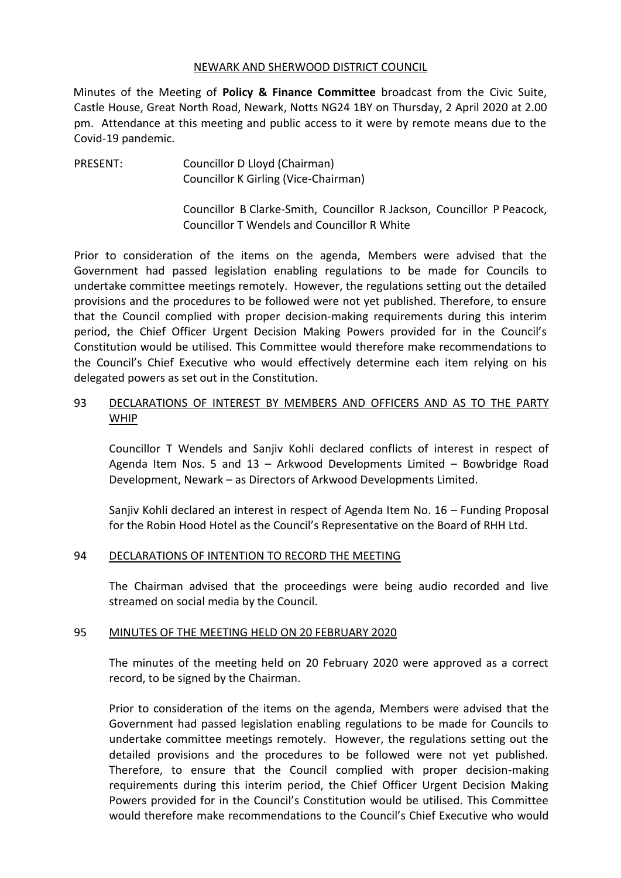#### NEWARK AND SHERWOOD DISTRICT COUNCIL

Minutes of the Meeting of **Policy & Finance Committee** broadcast from the Civic Suite, Castle House, Great North Road, Newark, Notts NG24 1BY on Thursday, 2 April 2020 at 2.00 pm. Attendance at this meeting and public access to it were by remote means due to the Covid-19 pandemic.

PRESENT: Councillor D Lloyd (Chairman) Councillor K Girling (Vice-Chairman)

> Councillor B Clarke-Smith, Councillor R Jackson, Councillor P Peacock, Councillor T Wendels and Councillor R White

Prior to consideration of the items on the agenda, Members were advised that the Government had passed legislation enabling regulations to be made for Councils to undertake committee meetings remotely. However, the regulations setting out the detailed provisions and the procedures to be followed were not yet published. Therefore, to ensure that the Council complied with proper decision-making requirements during this interim period, the Chief Officer Urgent Decision Making Powers provided for in the Council's Constitution would be utilised. This Committee would therefore make recommendations to the Council's Chief Executive who would effectively determine each item relying on his delegated powers as set out in the Constitution.

# 93 DECLARATIONS OF INTEREST BY MEMBERS AND OFFICERS AND AS TO THE PARTY WHIP

Councillor T Wendels and Sanjiv Kohli declared conflicts of interest in respect of Agenda Item Nos. 5 and 13 – Arkwood Developments Limited – Bowbridge Road Development, Newark – as Directors of Arkwood Developments Limited.

Sanjiv Kohli declared an interest in respect of Agenda Item No. 16 – Funding Proposal for the Robin Hood Hotel as the Council's Representative on the Board of RHH Ltd.

### 94 DECLARATIONS OF INTENTION TO RECORD THE MEETING

The Chairman advised that the proceedings were being audio recorded and live streamed on social media by the Council.

### 95 MINUTES OF THE MEETING HELD ON 20 FEBRUARY 2020

The minutes of the meeting held on 20 February 2020 were approved as a correct record, to be signed by the Chairman.

Prior to consideration of the items on the agenda, Members were advised that the Government had passed legislation enabling regulations to be made for Councils to undertake committee meetings remotely. However, the regulations setting out the detailed provisions and the procedures to be followed were not yet published. Therefore, to ensure that the Council complied with proper decision-making requirements during this interim period, the Chief Officer Urgent Decision Making Powers provided for in the Council's Constitution would be utilised. This Committee would therefore make recommendations to the Council's Chief Executive who would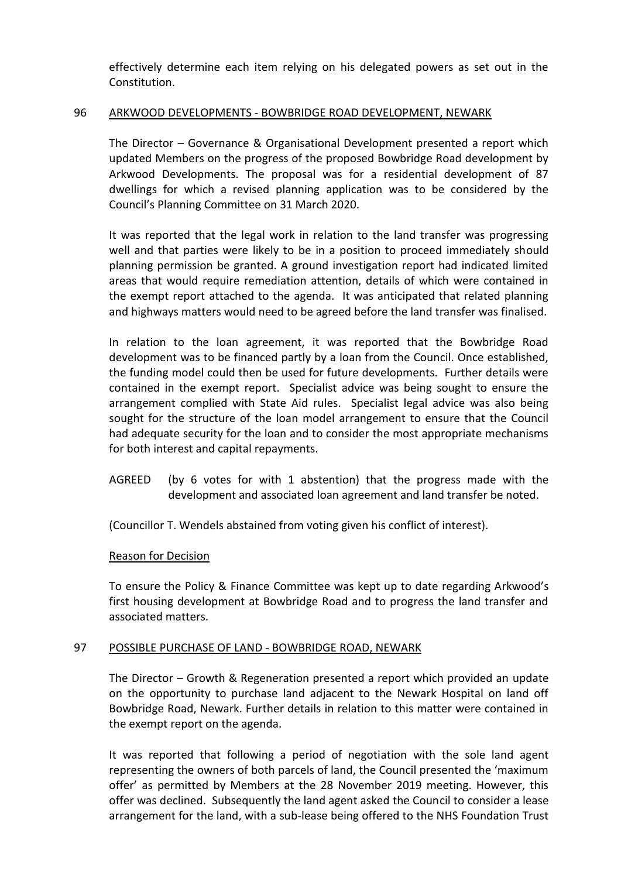effectively determine each item relying on his delegated powers as set out in the Constitution.

#### 96 ARKWOOD DEVELOPMENTS - BOWBRIDGE ROAD DEVELOPMENT, NEWARK

The Director – Governance & Organisational Development presented a report which updated Members on the progress of the proposed Bowbridge Road development by Arkwood Developments. The proposal was for a residential development of 87 dwellings for which a revised planning application was to be considered by the Council's Planning Committee on 31 March 2020.

It was reported that the legal work in relation to the land transfer was progressing well and that parties were likely to be in a position to proceed immediately should planning permission be granted. A ground investigation report had indicated limited areas that would require remediation attention, details of which were contained in the exempt report attached to the agenda. It was anticipated that related planning and highways matters would need to be agreed before the land transfer was finalised.

In relation to the loan agreement, it was reported that the Bowbridge Road development was to be financed partly by a loan from the Council. Once established, the funding model could then be used for future developments. Further details were contained in the exempt report. Specialist advice was being sought to ensure the arrangement complied with State Aid rules. Specialist legal advice was also being sought for the structure of the loan model arrangement to ensure that the Council had adequate security for the loan and to consider the most appropriate mechanisms for both interest and capital repayments.

AGREED (by 6 votes for with 1 abstention) that the progress made with the development and associated loan agreement and land transfer be noted.

(Councillor T. Wendels abstained from voting given his conflict of interest).

### Reason for Decision

To ensure the Policy & Finance Committee was kept up to date regarding Arkwood's first housing development at Bowbridge Road and to progress the land transfer and associated matters.

### 97 POSSIBLE PURCHASE OF LAND - BOWBRIDGE ROAD, NEWARK

The Director – Growth & Regeneration presented a report which provided an update on the opportunity to purchase land adjacent to the Newark Hospital on land off Bowbridge Road, Newark. Further details in relation to this matter were contained in the exempt report on the agenda.

It was reported that following a period of negotiation with the sole land agent representing the owners of both parcels of land, the Council presented the 'maximum offer' as permitted by Members at the 28 November 2019 meeting. However, this offer was declined. Subsequently the land agent asked the Council to consider a lease arrangement for the land, with a sub-lease being offered to the NHS Foundation Trust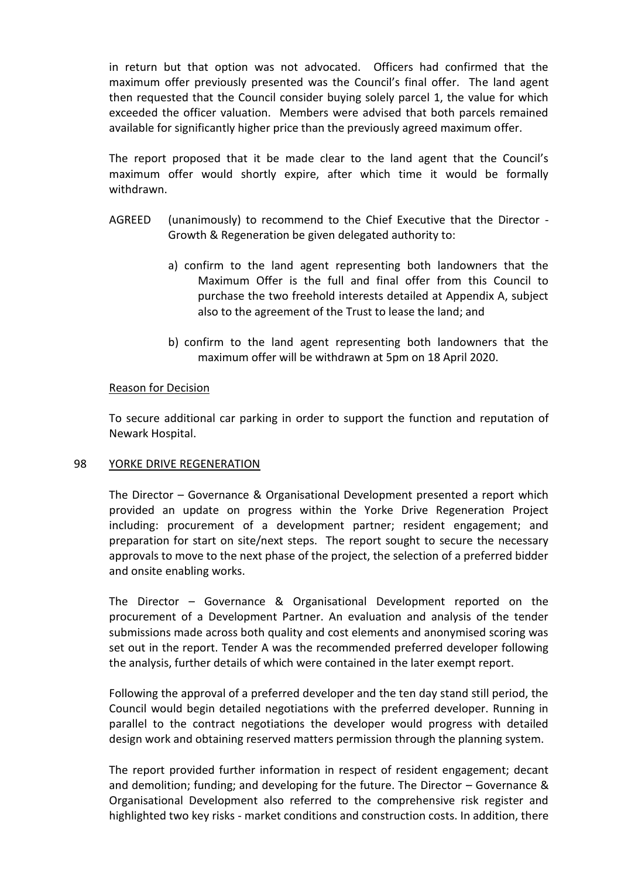in return but that option was not advocated. Officers had confirmed that the maximum offer previously presented was the Council's final offer. The land agent then requested that the Council consider buying solely parcel 1, the value for which exceeded the officer valuation. Members were advised that both parcels remained available for significantly higher price than the previously agreed maximum offer.

The report proposed that it be made clear to the land agent that the Council's maximum offer would shortly expire, after which time it would be formally withdrawn.

- AGREED (unanimously) to recommend to the Chief Executive that the Director Growth & Regeneration be given delegated authority to:
	- a) confirm to the land agent representing both landowners that the Maximum Offer is the full and final offer from this Council to purchase the two freehold interests detailed at Appendix A, subject also to the agreement of the Trust to lease the land; and
	- b) confirm to the land agent representing both landowners that the maximum offer will be withdrawn at 5pm on 18 April 2020.

### Reason for Decision

To secure additional car parking in order to support the function and reputation of Newark Hospital.

### 98 YORKE DRIVE REGENERATION

The Director – Governance & Organisational Development presented a report which provided an update on progress within the Yorke Drive Regeneration Project including: procurement of a development partner; resident engagement; and preparation for start on site/next steps. The report sought to secure the necessary approvals to move to the next phase of the project, the selection of a preferred bidder and onsite enabling works.

The Director – Governance & Organisational Development reported on the procurement of a Development Partner. An evaluation and analysis of the tender submissions made across both quality and cost elements and anonymised scoring was set out in the report. Tender A was the recommended preferred developer following the analysis, further details of which were contained in the later exempt report.

Following the approval of a preferred developer and the ten day stand still period, the Council would begin detailed negotiations with the preferred developer. Running in parallel to the contract negotiations the developer would progress with detailed design work and obtaining reserved matters permission through the planning system.

The report provided further information in respect of resident engagement; decant and demolition; funding; and developing for the future. The Director – Governance & Organisational Development also referred to the comprehensive risk register and highlighted two key risks - market conditions and construction costs. In addition, there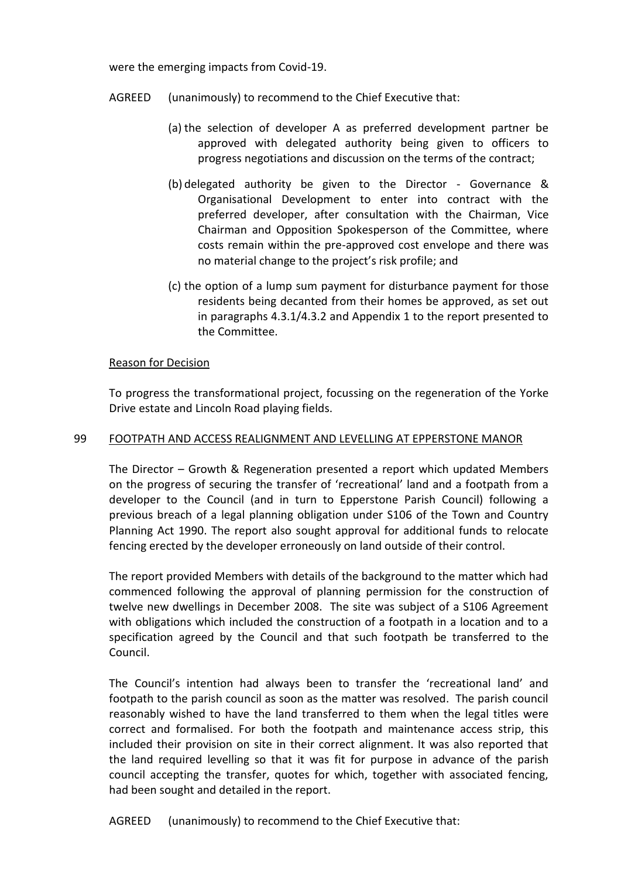were the emerging impacts from Covid-19.

- AGREED (unanimously) to recommend to the Chief Executive that:
	- (a) the selection of developer A as preferred development partner be approved with delegated authority being given to officers to progress negotiations and discussion on the terms of the contract;
	- (b) delegated authority be given to the Director Governance & Organisational Development to enter into contract with the preferred developer, after consultation with the Chairman, Vice Chairman and Opposition Spokesperson of the Committee, where costs remain within the pre-approved cost envelope and there was no material change to the project's risk profile; and
	- (c) the option of a lump sum payment for disturbance payment for those residents being decanted from their homes be approved, as set out in paragraphs 4.3.1/4.3.2 and Appendix 1 to the report presented to the Committee.

# Reason for Decision

To progress the transformational project, focussing on the regeneration of the Yorke Drive estate and Lincoln Road playing fields.

### 99 FOOTPATH AND ACCESS REALIGNMENT AND LEVELLING AT EPPERSTONE MANOR

The Director – Growth & Regeneration presented a report which updated Members on the progress of securing the transfer of 'recreational' land and a footpath from a developer to the Council (and in turn to Epperstone Parish Council) following a previous breach of a legal planning obligation under S106 of the Town and Country Planning Act 1990. The report also sought approval for additional funds to relocate fencing erected by the developer erroneously on land outside of their control.

The report provided Members with details of the background to the matter which had commenced following the approval of planning permission for the construction of twelve new dwellings in December 2008. The site was subject of a S106 Agreement with obligations which included the construction of a footpath in a location and to a specification agreed by the Council and that such footpath be transferred to the Council.

The Council's intention had always been to transfer the 'recreational land' and footpath to the parish council as soon as the matter was resolved. The parish council reasonably wished to have the land transferred to them when the legal titles were correct and formalised. For both the footpath and maintenance access strip, this included their provision on site in their correct alignment. It was also reported that the land required levelling so that it was fit for purpose in advance of the parish council accepting the transfer, quotes for which, together with associated fencing, had been sought and detailed in the report.

AGREED (unanimously) to recommend to the Chief Executive that: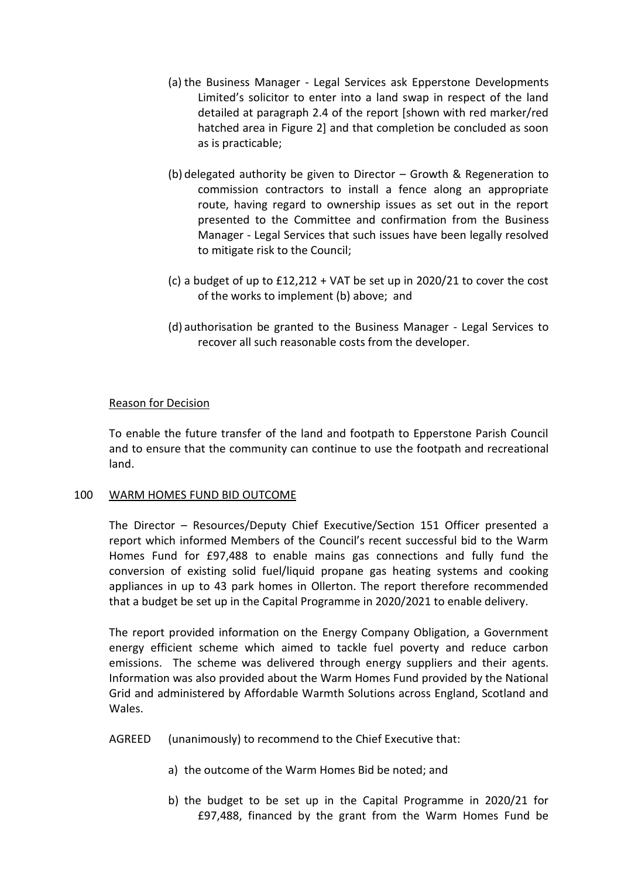- (a) the Business Manager Legal Services ask Epperstone Developments Limited's solicitor to enter into a land swap in respect of the land detailed at paragraph 2.4 of the report [shown with red marker/red hatched area in Figure 2] and that completion be concluded as soon as is practicable;
- (b) delegated authority be given to Director Growth & Regeneration to commission contractors to install a fence along an appropriate route, having regard to ownership issues as set out in the report presented to the Committee and confirmation from the Business Manager - Legal Services that such issues have been legally resolved to mitigate risk to the Council;
- (c) a budget of up to £12,212 + VAT be set up in 2020/21 to cover the cost of the works to implement (b) above; and
- (d) authorisation be granted to the Business Manager Legal Services to recover all such reasonable costs from the developer.

# Reason for Decision

To enable the future transfer of the land and footpath to Epperstone Parish Council and to ensure that the community can continue to use the footpath and recreational land.

### 100 WARM HOMES FUND BID OUTCOME

The Director – Resources/Deputy Chief Executive/Section 151 Officer presented a report which informed Members of the Council's recent successful bid to the Warm Homes Fund for £97,488 to enable mains gas connections and fully fund the conversion of existing solid fuel/liquid propane gas heating systems and cooking appliances in up to 43 park homes in Ollerton. The report therefore recommended that a budget be set up in the Capital Programme in 2020/2021 to enable delivery.

The report provided information on the Energy Company Obligation, a Government energy efficient scheme which aimed to tackle fuel poverty and reduce carbon emissions. The scheme was delivered through energy suppliers and their agents. Information was also provided about the Warm Homes Fund provided by the National Grid and administered by Affordable Warmth Solutions across England, Scotland and Wales.

- AGREED (unanimously) to recommend to the Chief Executive that:
	- a) the outcome of the Warm Homes Bid be noted; and
	- b) the budget to be set up in the Capital Programme in 2020/21 for £97,488, financed by the grant from the Warm Homes Fund be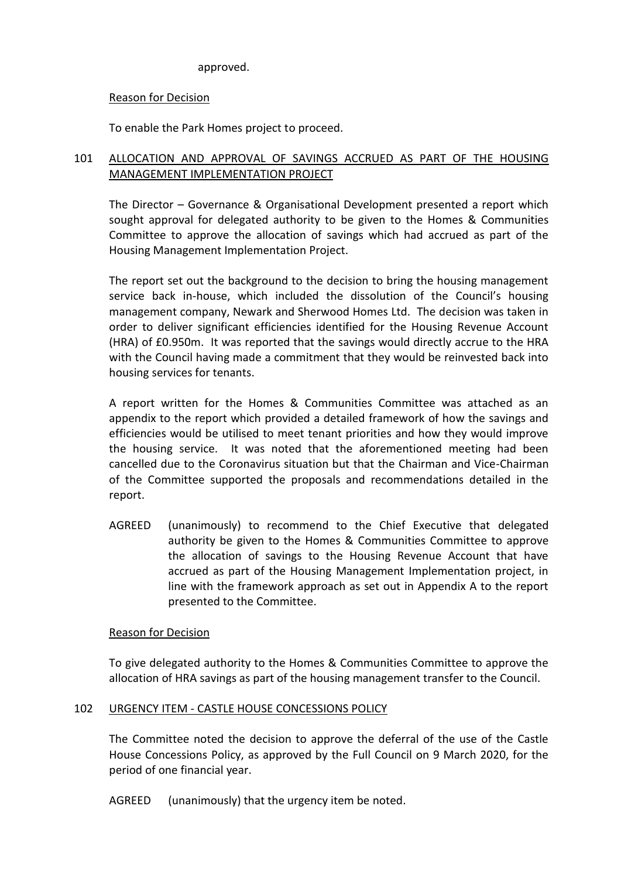### approved.

### Reason for Decision

To enable the Park Homes project to proceed.

# 101 ALLOCATION AND APPROVAL OF SAVINGS ACCRUED AS PART OF THE HOUSING MANAGEMENT IMPLEMENTATION PROJECT

The Director – Governance & Organisational Development presented a report which sought approval for delegated authority to be given to the Homes & Communities Committee to approve the allocation of savings which had accrued as part of the Housing Management Implementation Project.

The report set out the background to the decision to bring the housing management service back in-house, which included the dissolution of the Council's housing management company, Newark and Sherwood Homes Ltd. The decision was taken in order to deliver significant efficiencies identified for the Housing Revenue Account (HRA) of £0.950m. It was reported that the savings would directly accrue to the HRA with the Council having made a commitment that they would be reinvested back into housing services for tenants.

A report written for the Homes & Communities Committee was attached as an appendix to the report which provided a detailed framework of how the savings and efficiencies would be utilised to meet tenant priorities and how they would improve the housing service. It was noted that the aforementioned meeting had been cancelled due to the Coronavirus situation but that the Chairman and Vice-Chairman of the Committee supported the proposals and recommendations detailed in the report.

AGREED (unanimously) to recommend to the Chief Executive that delegated authority be given to the Homes & Communities Committee to approve the allocation of savings to the Housing Revenue Account that have accrued as part of the Housing Management Implementation project, in line with the framework approach as set out in Appendix A to the report presented to the Committee.

### Reason for Decision

To give delegated authority to the Homes & Communities Committee to approve the allocation of HRA savings as part of the housing management transfer to the Council.

### 102 URGENCY ITEM - CASTLE HOUSE CONCESSIONS POLICY

The Committee noted the decision to approve the deferral of the use of the Castle House Concessions Policy, as approved by the Full Council on 9 March 2020, for the period of one financial year.

AGREED (unanimously) that the urgency item be noted.